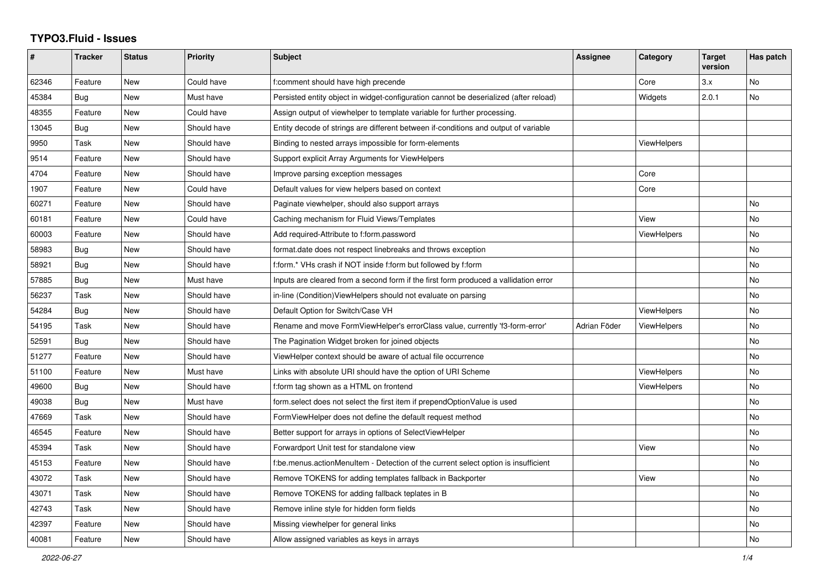## **TYPO3.Fluid - Issues**

| #     | Tracker    | <b>Status</b> | <b>Priority</b> | <b>Subject</b>                                                                        | Assignee     | Category           | <b>Target</b><br>version | Has patch |
|-------|------------|---------------|-----------------|---------------------------------------------------------------------------------------|--------------|--------------------|--------------------------|-----------|
| 62346 | Feature    | New           | Could have      | f:comment should have high precende                                                   |              | Core               | 3.x                      | No        |
| 45384 | Bug        | New           | Must have       | Persisted entity object in widget-configuration cannot be deserialized (after reload) |              | Widgets            | 2.0.1                    | No        |
| 48355 | Feature    | New           | Could have      | Assign output of viewhelper to template variable for further processing.              |              |                    |                          |           |
| 13045 | Bug        | New           | Should have     | Entity decode of strings are different between if-conditions and output of variable   |              |                    |                          |           |
| 9950  | Task       | <b>New</b>    | Should have     | Binding to nested arrays impossible for form-elements                                 |              | ViewHelpers        |                          |           |
| 9514  | Feature    | New           | Should have     | Support explicit Array Arguments for ViewHelpers                                      |              |                    |                          |           |
| 4704  | Feature    | <b>New</b>    | Should have     | Improve parsing exception messages                                                    |              | Core               |                          |           |
| 1907  | Feature    | <b>New</b>    | Could have      | Default values for view helpers based on context                                      |              | Core               |                          |           |
| 60271 | Feature    | New           | Should have     | Paginate viewhelper, should also support arrays                                       |              |                    |                          | <b>No</b> |
| 60181 | Feature    | New           | Could have      | Caching mechanism for Fluid Views/Templates                                           |              | View               |                          | No        |
| 60003 | Feature    | New           | Should have     | Add required-Attribute to f:form.password                                             |              | <b>ViewHelpers</b> |                          | No        |
| 58983 | Bug        | <b>New</b>    | Should have     | format.date does not respect linebreaks and throws exception                          |              |                    |                          | No        |
| 58921 | Bug        | New           | Should have     | f:form.* VHs crash if NOT inside f:form but followed by f:form                        |              |                    |                          | No        |
| 57885 | <b>Bug</b> | <b>New</b>    | Must have       | Inputs are cleared from a second form if the first form produced a vallidation error  |              |                    |                          | No        |
| 56237 | Task       | New           | Should have     | in-line (Condition) View Helpers should not evaluate on parsing                       |              |                    |                          | No        |
| 54284 | Bug        | New           | Should have     | Default Option for Switch/Case VH                                                     |              | ViewHelpers        |                          | No        |
| 54195 | Task       | New           | Should have     | Rename and move FormViewHelper's errorClass value, currently 'f3-form-error'          | Adrian Föder | ViewHelpers        |                          | No        |
| 52591 | Bug        | <b>New</b>    | Should have     | The Pagination Widget broken for joined objects                                       |              |                    |                          | <b>No</b> |
| 51277 | Feature    | New           | Should have     | ViewHelper context should be aware of actual file occurrence                          |              |                    |                          | <b>No</b> |
| 51100 | Feature    | New           | Must have       | Links with absolute URI should have the option of URI Scheme                          |              | <b>ViewHelpers</b> |                          | No        |
| 49600 | Bug        | <b>New</b>    | Should have     | f:form tag shown as a HTML on frontend                                                |              | <b>ViewHelpers</b> |                          | No        |
| 49038 | Bug        | New           | Must have       | form.select does not select the first item if prependOptionValue is used              |              |                    |                          | <b>No</b> |
| 47669 | Task       | New           | Should have     | FormViewHelper does not define the default request method                             |              |                    |                          | No        |
| 46545 | Feature    | New           | Should have     | Better support for arrays in options of SelectViewHelper                              |              |                    |                          | No        |
| 45394 | Task       | New           | Should have     | Forwardport Unit test for standalone view                                             |              | View               |                          | No        |
| 45153 | Feature    | New           | Should have     | f:be.menus.actionMenuItem - Detection of the current select option is insufficient    |              |                    |                          | No        |
| 43072 | Task       | New           | Should have     | Remove TOKENS for adding templates fallback in Backporter                             |              | View               |                          | No        |
| 43071 | Task       | New           | Should have     | Remove TOKENS for adding fallback teplates in B                                       |              |                    |                          | No        |
| 42743 | Task       | New           | Should have     | Remove inline style for hidden form fields                                            |              |                    |                          | No        |
| 42397 | Feature    | <b>New</b>    | Should have     | Missing viewhelper for general links                                                  |              |                    |                          | <b>No</b> |
| 40081 | Feature    | <b>New</b>    | Should have     | Allow assigned variables as keys in arrays                                            |              |                    |                          | <b>No</b> |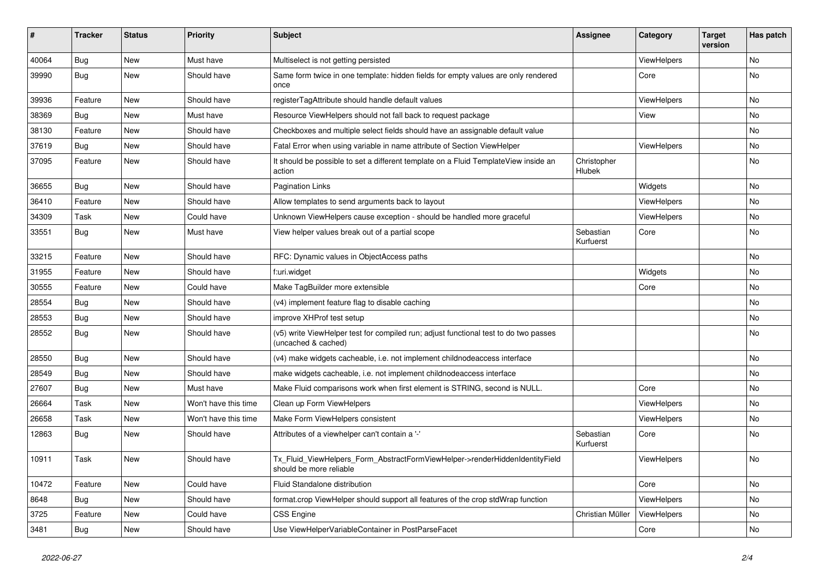| #     | <b>Tracker</b> | <b>Status</b> | <b>Priority</b>      | <b>Subject</b>                                                                                              | <b>Assignee</b>        | Category    | <b>Target</b><br>version | Has patch |
|-------|----------------|---------------|----------------------|-------------------------------------------------------------------------------------------------------------|------------------------|-------------|--------------------------|-----------|
| 40064 | Bug            | New           | Must have            | Multiselect is not getting persisted                                                                        |                        | ViewHelpers |                          | <b>No</b> |
| 39990 | Bug            | New           | Should have          | Same form twice in one template: hidden fields for empty values are only rendered<br>once                   |                        | Core        |                          | No        |
| 39936 | Feature        | <b>New</b>    | Should have          | registerTagAttribute should handle default values                                                           |                        | ViewHelpers |                          | No        |
| 38369 | Bug            | New           | Must have            | Resource ViewHelpers should not fall back to request package                                                |                        | View        |                          | No        |
| 38130 | Feature        | New           | Should have          | Checkboxes and multiple select fields should have an assignable default value                               |                        |             |                          | No        |
| 37619 | Bug            | New           | Should have          | Fatal Error when using variable in name attribute of Section ViewHelper                                     |                        | ViewHelpers |                          | No        |
| 37095 | Feature        | New           | Should have          | It should be possible to set a different template on a Fluid TemplateView inside an<br>action               | Christopher<br>Hlubek  |             |                          | No        |
| 36655 | Bug            | New           | Should have          | <b>Pagination Links</b>                                                                                     |                        | Widgets     |                          | No        |
| 36410 | Feature        | New           | Should have          | Allow templates to send arguments back to layout                                                            |                        | ViewHelpers |                          | No        |
| 34309 | Task           | New           | Could have           | Unknown ViewHelpers cause exception - should be handled more graceful                                       |                        | ViewHelpers |                          | No        |
| 33551 | Bug            | New           | Must have            | View helper values break out of a partial scope                                                             | Sebastian<br>Kurfuerst | Core        |                          | No        |
| 33215 | Feature        | New           | Should have          | RFC: Dynamic values in ObjectAccess paths                                                                   |                        |             |                          | No        |
| 31955 | Feature        | New           | Should have          | f:uri.widget                                                                                                |                        | Widgets     |                          | No        |
| 30555 | Feature        | New           | Could have           | Make TagBuilder more extensible                                                                             |                        | Core        |                          | No        |
| 28554 | Bug            | New           | Should have          | (v4) implement feature flag to disable caching                                                              |                        |             |                          | No        |
| 28553 | Bug            | New           | Should have          | improve XHProf test setup                                                                                   |                        |             |                          | No        |
| 28552 | Bug            | New           | Should have          | (v5) write ViewHelper test for compiled run; adjust functional test to do two passes<br>(uncached & cached) |                        |             |                          | No        |
| 28550 | Bug            | New           | Should have          | (v4) make widgets cacheable, i.e. not implement childnodeaccess interface                                   |                        |             |                          | No        |
| 28549 | Bug            | New           | Should have          | make widgets cacheable, i.e. not implement childnodeaccess interface                                        |                        |             |                          | No        |
| 27607 | Bug            | New           | Must have            | Make Fluid comparisons work when first element is STRING, second is NULL.                                   |                        | Core        |                          | No        |
| 26664 | Task           | New           | Won't have this time | Clean up Form ViewHelpers                                                                                   |                        | ViewHelpers |                          | No        |
| 26658 | Task           | New           | Won't have this time | Make Form ViewHelpers consistent                                                                            |                        | ViewHelpers |                          | No        |
| 12863 | Bug            | New           | Should have          | Attributes of a viewhelper can't contain a '-'                                                              | Sebastian<br>Kurfuerst | Core        |                          | No        |
| 10911 | Task           | New           | Should have          | Tx_Fluid_ViewHelpers_Form_AbstractFormViewHelper->renderHiddenIdentityField<br>should be more reliable      |                        | ViewHelpers |                          | No        |
| 10472 | Feature        | New           | Could have           | Fluid Standalone distribution                                                                               |                        | Core        |                          | No        |
| 8648  | Bug            | New           | Should have          | format.crop ViewHelper should support all features of the crop stdWrap function                             |                        | ViewHelpers |                          | No        |
| 3725  | Feature        | New           | Could have           | CSS Engine                                                                                                  | Christian Müller       | ViewHelpers |                          | No        |
| 3481  | <b>Bug</b>     | New           | Should have          | Use ViewHelperVariableContainer in PostParseFacet                                                           |                        | Core        |                          | No        |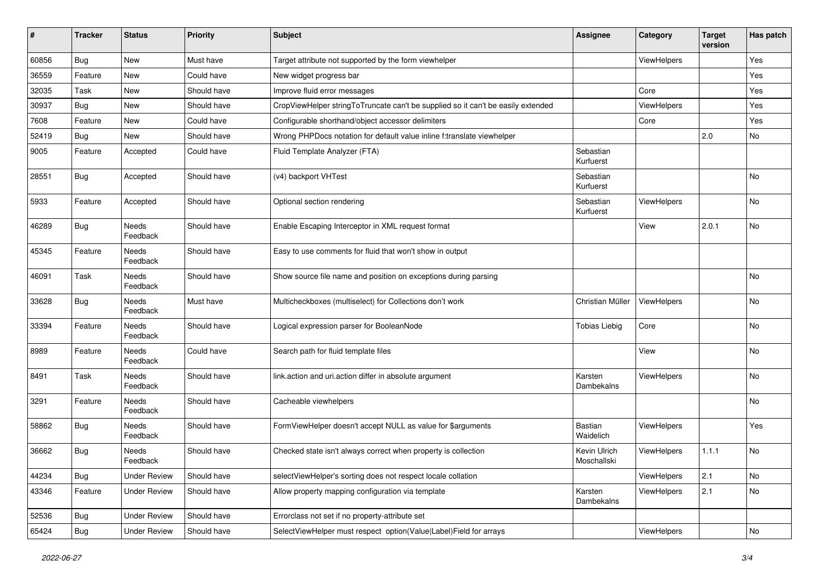| #     | <b>Tracker</b> | <b>Status</b>       | <b>Priority</b> | Subject                                                                          | <b>Assignee</b>             | Category    | <b>Target</b><br>version | Has patch |
|-------|----------------|---------------------|-----------------|----------------------------------------------------------------------------------|-----------------------------|-------------|--------------------------|-----------|
| 60856 | Bug            | New                 | Must have       | Target attribute not supported by the form viewhelper                            |                             | ViewHelpers |                          | Yes       |
| 36559 | Feature        | New                 | Could have      | New widget progress bar                                                          |                             |             |                          | Yes       |
| 32035 | Task           | New                 | Should have     | Improve fluid error messages                                                     |                             | Core        |                          | Yes       |
| 30937 | Bug            | New                 | Should have     | CropViewHelper stringToTruncate can't be supplied so it can't be easily extended |                             | ViewHelpers |                          | Yes       |
| 7608  | Feature        | New                 | Could have      | Configurable shorthand/object accessor delimiters                                |                             | Core        |                          | Yes       |
| 52419 | Bug            | New                 | Should have     | Wrong PHPDocs notation for default value inline f:translate viewhelper           |                             |             | 2.0                      | No        |
| 9005  | Feature        | Accepted            | Could have      | Fluid Template Analyzer (FTA)                                                    | Sebastian<br>Kurfuerst      |             |                          |           |
| 28551 | Bug            | Accepted            | Should have     | (v4) backport VHTest                                                             | Sebastian<br>Kurfuerst      |             |                          | No        |
| 5933  | Feature        | Accepted            | Should have     | Optional section rendering                                                       | Sebastian<br>Kurfuerst      | ViewHelpers |                          | No        |
| 46289 | <b>Bug</b>     | Needs<br>Feedback   | Should have     | Enable Escaping Interceptor in XML request format                                |                             | View        | 2.0.1                    | No        |
| 45345 | Feature        | Needs<br>Feedback   | Should have     | Easy to use comments for fluid that won't show in output                         |                             |             |                          |           |
| 46091 | Task           | Needs<br>Feedback   | Should have     | Show source file name and position on exceptions during parsing                  |                             |             |                          | <b>No</b> |
| 33628 | Bug            | Needs<br>Feedback   | Must have       | Multicheckboxes (multiselect) for Collections don't work                         | Christian Müller            | ViewHelpers |                          | No        |
| 33394 | Feature        | Needs<br>Feedback   | Should have     | Logical expression parser for BooleanNode                                        | <b>Tobias Liebig</b>        | Core        |                          | No        |
| 8989  | Feature        | Needs<br>Feedback   | Could have      | Search path for fluid template files                                             |                             | View        |                          | No        |
| 8491  | Task           | Needs<br>Feedback   | Should have     | link.action and uri.action differ in absolute argument                           | Karsten<br>Dambekalns       | ViewHelpers |                          | No        |
| 3291  | Feature        | Needs<br>Feedback   | Should have     | Cacheable viewhelpers                                                            |                             |             |                          | No        |
| 58862 | Bug            | Needs<br>Feedback   | Should have     | FormViewHelper doesn't accept NULL as value for \$arguments                      | Bastian<br>Waidelich        | ViewHelpers |                          | Yes       |
| 36662 | Bug            | Needs<br>Feedback   | Should have     | Checked state isn't always correct when property is collection                   | Kevin Ulrich<br>Moschallski | ViewHelpers | 1.1.1                    | No        |
| 44234 | Bug            | <b>Under Review</b> | Should have     | selectViewHelper's sorting does not respect locale collation                     |                             | ViewHelpers | 2.1                      | No        |
| 43346 | Feature        | <b>Under Review</b> | Should have     | Allow property mapping configuration via template                                | Karsten<br>Dambekalns       | ViewHelpers | 2.1                      | No        |
| 52536 | Bug            | <b>Under Review</b> | Should have     | Errorclass not set if no property-attribute set                                  |                             |             |                          |           |
| 65424 | <b>Bug</b>     | <b>Under Review</b> | Should have     | SelectViewHelper must respect option(Value Label)Field for arrays                |                             | ViewHelpers |                          | No        |